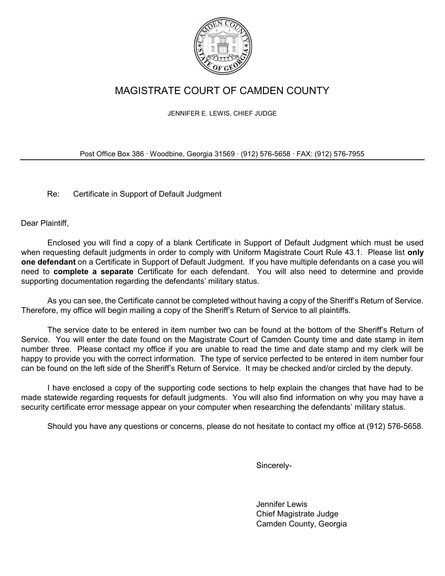

# MAGISTRATE COURT OF CAMDEN COUNTY

JENNIFER E. LEWIS, CHIEF JUDGE

Post Office Box 386 ∙ Woodbine, Georgia 31569 ∙ (912) 576-5658 ∙ FAX: (912) 576-7955

Re: Certificate in Support of Default Judgment

Dear Plaintiff,

Enclosed you will find a copy of a blank Certificate in Support of Default Judgment which must be used when requesting default judgments in order to comply with Uniform Magistrate Court Rule 43.1. Please list only one defendant on a Certificate in Support of Default Judgment. If you have multiple defendants on a case you will need to complete a separate Certificate for each defendant. You will also need to determine and provide supporting documentation regarding the defendants' military status.

As you can see, the Certificate cannot be completed without having a copy of the Sheriff's Return of Service. Therefore, my office will begin mailing a copy of the Sheriff's Return of Service to all plaintiffs.

The service date to be entered in item number two can be found at the bottom of the Sheriff's Return of Service. You will enter the date found on the Magistrate Court of Camden County time and date stamp in item number three. Please contact my office if you are unable to read the time and date stamp and my clerk will be happy to provide you with the correct information. The type of service perfected to be entered in item number four can be found on the left side of the Sheriff's Return of Service. It may be checked and/or circled by the deputy.

I have enclosed a copy of the supporting code sections to help explain the changes that have had to be made statewide regarding requests for default judgments. You will also find information on why you may have a security certificate error message appear on your computer when researching the defendants' military status.

Should you have any questions or concerns, please do not hesitate to contact my office at (912) 576-5658.

Sincerely-

Jennifer Lewis Chief Magistrate Judge Camden County, Georgia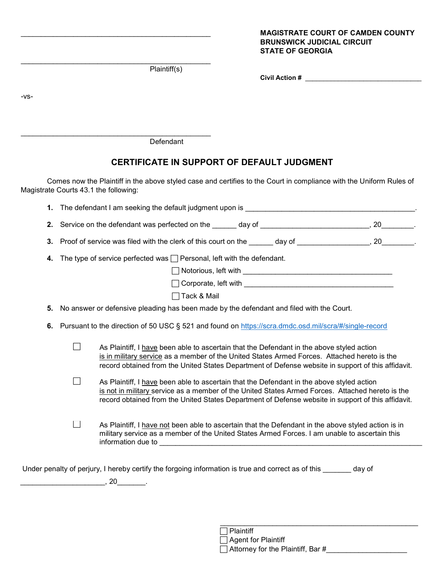#### MAGISTRATE COURT OF CAMDEN COUNTY BRUNSWICK JUDICIAL CIRCUIT STATE OF GEORGIA

Plaintiff(s)

\_\_\_\_\_\_\_\_\_\_\_\_\_\_\_\_\_\_\_\_\_\_\_\_\_\_\_\_\_\_\_\_\_\_\_\_\_\_\_\_\_\_\_\_\_\_\_

\_\_\_\_\_\_\_\_\_\_\_\_\_\_\_\_\_\_\_\_\_\_\_\_\_\_\_\_\_\_\_\_\_\_\_\_\_\_\_\_\_\_\_\_\_\_\_

| <b>Civil Action #</b> |  |
|-----------------------|--|
|-----------------------|--|

-vs-

**Defendant** 

# CERTIFICATE IN SUPPORT OF DEFAULT JUDGMENT

Comes now the Plaintiff in the above styled case and certifies to the Court in compliance with the Uniform Rules of Magistrate Courts 43.1 the following:

|    | 1. The defendant I am seeking the default judgment upon is example to the second control of the second second second second second second second second second second second second second second second second second second  |                                                                                                                                                                                                                                                                                                     |  |  |  |  |  |
|----|--------------------------------------------------------------------------------------------------------------------------------------------------------------------------------------------------------------------------------|-----------------------------------------------------------------------------------------------------------------------------------------------------------------------------------------------------------------------------------------------------------------------------------------------------|--|--|--|--|--|
|    | 2. Service on the defendant was perfected on the electropy of electropy of electropy and an expansion on the defendant was perfected on the electropy of electropy of the service on the service of the service of the service |                                                                                                                                                                                                                                                                                                     |  |  |  |  |  |
|    | 3. Proof of service was filed with the clerk of this court on the ______ day of ________________, 20________.                                                                                                                  |                                                                                                                                                                                                                                                                                                     |  |  |  |  |  |
| 4. |                                                                                                                                                                                                                                | The type of service perfected was $\Box$ Personal, left with the defendant.                                                                                                                                                                                                                         |  |  |  |  |  |
|    |                                                                                                                                                                                                                                |                                                                                                                                                                                                                                                                                                     |  |  |  |  |  |
|    |                                                                                                                                                                                                                                |                                                                                                                                                                                                                                                                                                     |  |  |  |  |  |
|    |                                                                                                                                                                                                                                | □ Tack & Mail                                                                                                                                                                                                                                                                                       |  |  |  |  |  |
| 5. |                                                                                                                                                                                                                                | No answer or defensive pleading has been made by the defendant and filed with the Court.                                                                                                                                                                                                            |  |  |  |  |  |
|    |                                                                                                                                                                                                                                | 6. Pursuant to the direction of 50 USC § 521 and found on https://scra.dmdc.osd.mil/scra/#/single-record                                                                                                                                                                                            |  |  |  |  |  |
|    |                                                                                                                                                                                                                                | As Plaintiff, I have been able to ascertain that the Defendant in the above styled action<br>is in military service as a member of the United States Armed Forces. Attached hereto is the<br>record obtained from the United States Department of Defense website in support of this affidavit.     |  |  |  |  |  |
|    |                                                                                                                                                                                                                                | As Plaintiff, I have been able to ascertain that the Defendant in the above styled action<br>is not in military service as a member of the United States Armed Forces. Attached hereto is the<br>record obtained from the United States Department of Defense website in support of this affidavit. |  |  |  |  |  |
|    |                                                                                                                                                                                                                                | As Plaintiff, I have not been able to ascertain that the Defendant in the above styled action is in<br>military service as a member of the United States Armed Forces. I am unable to ascertain this                                                                                                |  |  |  |  |  |
|    |                                                                                                                                                                                                                                | Under penalty of perjury, I hereby certify the forgoing information is true and correct as of this day of<br>, 20                                                                                                                                                                                   |  |  |  |  |  |

 $\frac{1}{\sqrt{2}}$  , and the contract of the contract of the contract of the contract of the contract of the contract of the contract of the contract of the contract of the contract of the contract of the contract of the contra

| Plaintiff                                |
|------------------------------------------|
| $\Box$ Agent for Plaintiff               |
| $\Box$ Attorney for the Plaintiff, Bar # |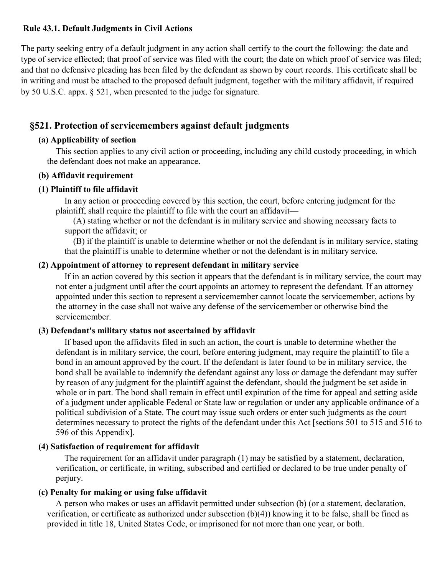#### Rule 43.1. Default Judgments in Civil Actions

The party seeking entry of a default judgment in any action shall certify to the court the following: the date and type of service effected; that proof of service was filed with the court; the date on which proof of service was filed; and that no defensive pleading has been filed by the defendant as shown by court records. This certificate shall be in writing and must be attached to the proposed default judgment, together with the military affidavit, if required by 50 U.S.C. appx. § 521, when presented to the judge for signature.

# §521. Protection of servicemembers against default judgments

### (a) Applicability of section

This section applies to any civil action or proceeding, including any child custody proceeding, in which the defendant does not make an appearance.

#### (b) Affidavit requirement

# (1) Plaintiff to file affidavit

In any action or proceeding covered by this section, the court, before entering judgment for the plaintiff, shall require the plaintiff to file with the court an affidavit—

(A) stating whether or not the defendant is in military service and showing necessary facts to support the affidavit; or

(B) if the plaintiff is unable to determine whether or not the defendant is in military service, stating that the plaintiff is unable to determine whether or not the defendant is in military service.

#### (2) Appointment of attorney to represent defendant in military service

If in an action covered by this section it appears that the defendant is in military service, the court may not enter a judgment until after the court appoints an attorney to represent the defendant. If an attorney appointed under this section to represent a servicemember cannot locate the servicemember, actions by the attorney in the case shall not waive any defense of the servicemember or otherwise bind the servicemember.

# (3) Defendant's military status not ascertained by affidavit

If based upon the affidavits filed in such an action, the court is unable to determine whether the defendant is in military service, the court, before entering judgment, may require the plaintiff to file a bond in an amount approved by the court. If the defendant is later found to be in military service, the bond shall be available to indemnify the defendant against any loss or damage the defendant may suffer by reason of any judgment for the plaintiff against the defendant, should the judgment be set aside in whole or in part. The bond shall remain in effect until expiration of the time for appeal and setting aside of a judgment under applicable Federal or State law or regulation or under any applicable ordinance of a political subdivision of a State. The court may issue such orders or enter such judgments as the court determines necessary to protect the rights of the defendant under this Act [sections 501 to 515 and 516 to 596 of this Appendix].

# (4) Satisfaction of requirement for affidavit

The requirement for an affidavit under paragraph (1) may be satisfied by a statement, declaration, verification, or certificate, in writing, subscribed and certified or declared to be true under penalty of perjury.

#### (c) Penalty for making or using false affidavit

A person who makes or uses an affidavit permitted under subsection (b) (or a statement, declaration, verification, or certificate as authorized under subsection (b)(4)) knowing it to be false, shall be fined as provided in title 18, United States Code, or imprisoned for not more than one year, or both.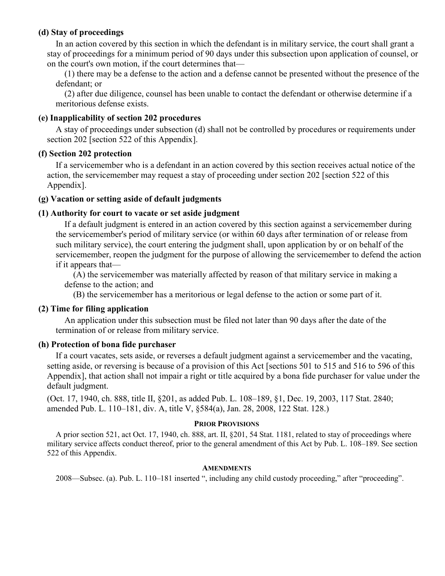#### (d) Stay of proceedings

In an action covered by this section in which the defendant is in military service, the court shall grant a stay of proceedings for a minimum period of 90 days under this subsection upon application of counsel, or on the court's own motion, if the court determines that—

(1) there may be a defense to the action and a defense cannot be presented without the presence of the defendant; or

(2) after due diligence, counsel has been unable to contact the defendant or otherwise determine if a meritorious defense exists.

#### (e) Inapplicability of section 202 procedures

A stay of proceedings under subsection (d) shall not be controlled by procedures or requirements under section 202 [section 522 of this Appendix].

#### (f) Section 202 protection

If a servicemember who is a defendant in an action covered by this section receives actual notice of the action, the servicemember may request a stay of proceeding under section 202 [section 522 of this Appendix].

#### (g) Vacation or setting aside of default judgments

#### (1) Authority for court to vacate or set aside judgment

If a default judgment is entered in an action covered by this section against a servicemember during the servicemember's period of military service (or within 60 days after termination of or release from such military service), the court entering the judgment shall, upon application by or on behalf of the servicemember, reopen the judgment for the purpose of allowing the servicemember to defend the action if it appears that—

(A) the servicemember was materially affected by reason of that military service in making a defense to the action; and

(B) the servicemember has a meritorious or legal defense to the action or some part of it.

#### (2) Time for filing application

An application under this subsection must be filed not later than 90 days after the date of the termination of or release from military service.

#### (h) Protection of bona fide purchaser

If a court vacates, sets aside, or reverses a default judgment against a servicemember and the vacating, setting aside, or reversing is because of a provision of this Act [sections 501 to 515 and 516 to 596 of this Appendix], that action shall not impair a right or title acquired by a bona fide purchaser for value under the default judgment.

(Oct. 17, 1940, ch. 888, title II, §201, as added Pub. L. 108–189, §1, Dec. 19, 2003, 117 Stat. 2840; amended Pub. L. 110–181, div. A, title V, §584(a), Jan. 28, 2008, 122 Stat. 128.)

#### PRIOR PROVISIONS

A prior section 521, act Oct. 17, 1940, ch. 888, art. II, §201, 54 Stat. 1181, related to stay of proceedings where military service affects conduct thereof, prior to the general amendment of this Act by Pub. L. 108–189. See section 522 of this Appendix.

#### **AMENDMENTS**

2008—Subsec. (a). Pub. L. 110–181 inserted ", including any child custody proceeding," after "proceeding".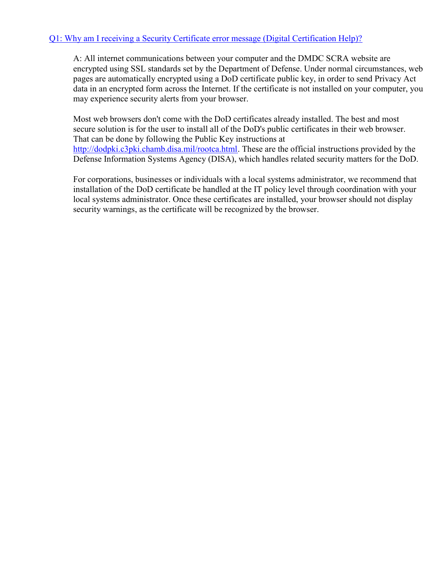# Q1: Why am I receiving a Security Certificate error message (Digital Certification Help)?

A: All internet communications between your computer and the DMDC SCRA website are encrypted using SSL standards set by the Department of Defense. Under normal circumstances, web pages are automatically encrypted using a DoD certificate public key, in order to send Privacy Act data in an encrypted form across the Internet. If the certificate is not installed on your computer, you may experience security alerts from your browser.

Most web browsers don't come with the DoD certificates already installed. The best and most secure solution is for the user to install all of the DoD's public certificates in their web browser. That can be done by following the Public Key instructions at http://dodpki.c3pki.chamb.disa.mil/rootca.html. These are the official instructions provided by the Defense Information Systems Agency (DISA), which handles related security matters for the DoD.

For corporations, businesses or individuals with a local systems administrator, we recommend that installation of the DoD certificate be handled at the IT policy level through coordination with your local systems administrator. Once these certificates are installed, your browser should not display security warnings, as the certificate will be recognized by the browser.